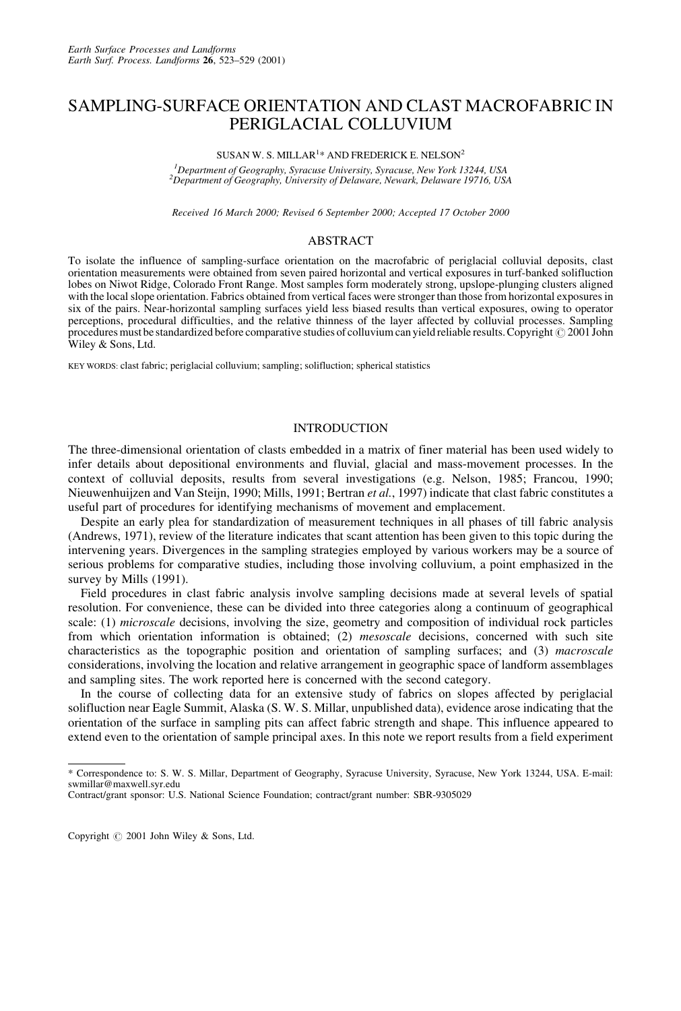# SAMPLING-SURFACE ORIENTATION AND CLAST MACROFABRIC IN PERIGLACIAL COLLUVIUM

## SUSAN W. S. MILLAR $^{1\ast}$  AND FREDERICK E. NELSON $^{2}$

*1 Department of Geography, Syracuse University, Syracuse, New York 13244, USA <sup>2</sup> Department of Geography, University of Delaware, Newark, Delaware 19716, USA*

*Received 16 March 2000; Revised 6 September 2000; Accepted 17 October 2000*

## **ABSTRACT**

To isolate the influence of sampling-surface orientation on the macrofabric of periglacial colluvial deposits, clast orientation measurements were obtained from seven paired horizontal and vertical exposures in turf-banked solifluction lobes on Niwot Ridge, Colorado Front Range. Most samples form moderately strong, upslope-plunging clusters aligned with the local slope orientation. Fabrics obtained from vertical faces were stronger than those from horizontal exposures in six of the pairs. Near-horizontal sampling surfaces yield less biased results than vertical exposures, owing to operator perceptions, procedural difficulties, and the relative thinness of the layer affected by colluvial processes. Sampling procedures must be standardized before comparative studies of colluvium can yield reliable results. Copyright  $\odot$  2001 John Wiley & Sons, Ltd.

KEY WORDS: clast fabric; periglacial colluvium; sampling; solifluction; spherical statistics

#### INTRODUCTION

The three-dimensional orientation of clasts embedded in a matrix of finer material has been used widely to infer details about depositional environments and fluvial, glacial and mass-movement processes. In the context of colluvial deposits, results from several investigations (e.g. Nelson, 1985; Francou, 1990; Nieuwenhuijzen and Van Steijn, 1990; Mills, 1991; Bertran *et al.*, 1997) indicate that clast fabric constitutes a useful part of procedures for identifying mechanisms of movement and emplacement.

Despite an early plea for standardization of measurement techniques in all phases of till fabric analysis (Andrews, 1971), review of the literature indicates that scant attention has been given to this topic during the intervening years. Divergences in the sampling strategies employed by various workers may be a source of serious problems for comparative studies, including those involving colluvium, a point emphasized in the survey by Mills (1991).

Field procedures in clast fabric analysis involve sampling decisions made at several levels of spatial resolution. For convenience, these can be divided into three categories along a continuum of geographical scale: (1) *microscale* decisions, involving the size, geometry and composition of individual rock particles from which orientation information is obtained; (2) *mesoscale* decisions, concerned with such site characteristics as the topographic position and orientation of sampling surfaces; and (3) *macroscale* considerations, involving the location and relative arrangement in geographic space of landform assemblages and sampling sites. The work reported here is concerned with the second category.

In the course of collecting data for an extensive study of fabrics on slopes affected by periglacial solifluction near Eagle Summit, Alaska (S. W. S. Millar, unpublished data), evidence arose indicating that the orientation of the surface in sampling pits can affect fabric strength and shape. This influence appeared to extend even to the orientation of sample principal axes. In this note we report results from a field experiment

<sup>\*</sup> Correspondence to: S. W. S. Millar, Department of Geography, Syracuse University, Syracuse, New York 13244, USA. E-mail: swmillar@maxwell.syr.edu

Contract/grant sponsor: U.S. National Science Foundation; contract/grant number: SBR-9305029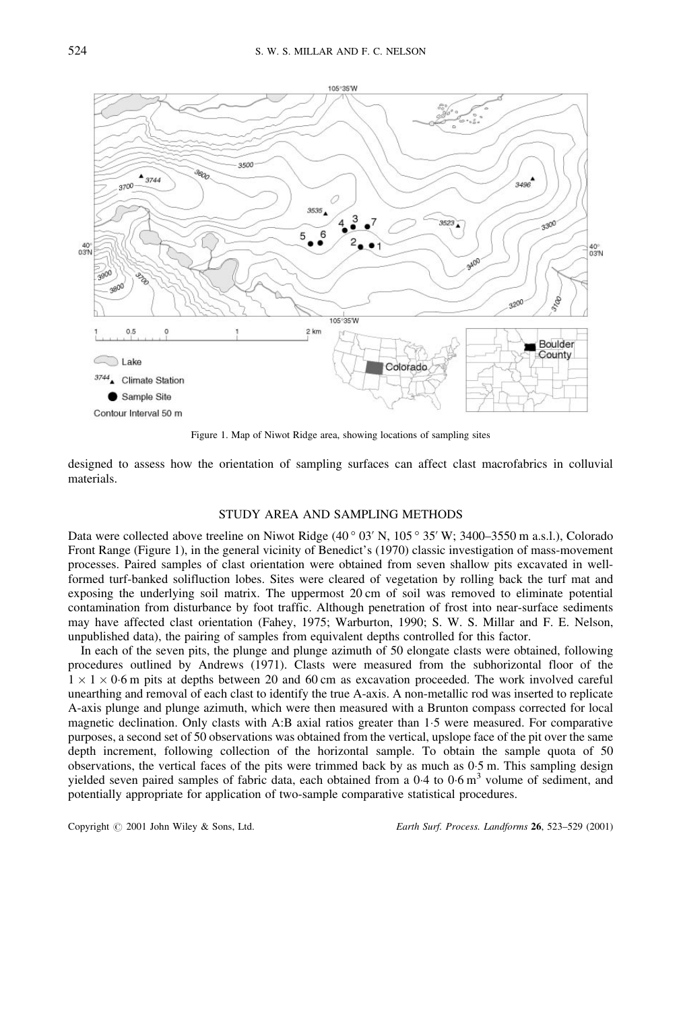

Figure 1. Map of Niwot Ridge area, showing locations of sampling sites

designed to assess how the orientation of sampling surfaces can affect clast macrofabrics in colluvial materials.

## STUDY AREA AND SAMPLING METHODS

Data were collected above treeline on Niwot Ridge  $(40°03' N, 105°35' W; 3400–3550 m a.s.l.)$ , Colorado Front Range (Figure 1), in the general vicinity of Benedict's (1970) classic investigation of mass-movement processes. Paired samples of clast orientation were obtained from seven shallow pits excavated in wellformed turf-banked solifluction lobes. Sites were cleared of vegetation by rolling back the turf mat and exposing the underlying soil matrix. The uppermost 20 cm of soil was removed to eliminate potential contamination from disturbance by foot traffic. Although penetration of frost into near-surface sediments may have affected clast orientation (Fahey, 1975; Warburton, 1990; S. W. S. Millar and F. E. Nelson, unpublished data), the pairing of samples from equivalent depths controlled for this factor.

In each of the seven pits, the plunge and plunge azimuth of 50 elongate clasts were obtained, following procedures outlined by Andrews (1971). Clasts were measured from the subhorizontal floor of the  $1 \times 1 \times 0.6$  m pits at depths between 20 and 60 cm as excavation proceeded. The work involved careful unearthing and removal of each clast to identify the true A-axis. A non-metallic rod was inserted to replicate A-axis plunge and plunge azimuth, which were then measured with a Brunton compass corrected for local magnetic declination. Only clasts with A:B axial ratios greater than 1-5 were measured. For comparative purposes, a second set of 50 observations was obtained from the vertical, upslope face of the pit over the same depth increment, following collection of the horizontal sample. To obtain the sample quota of 50 observations, the vertical faces of the pits were trimmed back by as much as  $0.5$  m. This sampling design yielded seven paired samples of fabric data, each obtained from a  $0.4$  to  $0.6 \text{ m}^3$  volume of sediment, and potentially appropriate for application of two-sample comparative statistical procedures.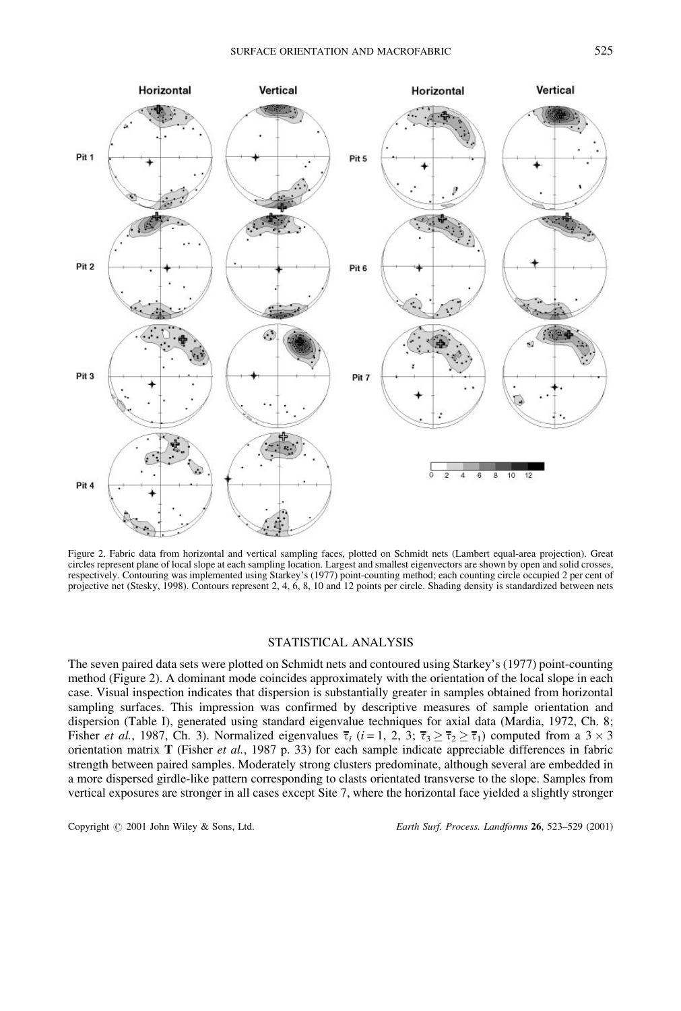

Figure 2. Fabric data from horizontal and vertical sampling faces, plotted on Schmidt nets (Lambert equal-area projection). Great circles represent plane of local slope at each sampling location. Largest and smallest eigenvectors are shown by open and solid crosses, respectively. Contouring was implemented using Starkey's (1977) point-counting method; each counting circle occupied 2 per cent of projective net (Stesky, 1998). Contours represent 2, 4, 6, 8, 10 and 12 points per circle. Shading density is standardized between nets

## STATISTICAL ANALYSIS

The seven paired data sets were plotted on Schmidt nets and contoured using Starkey's (1977) point-counting method (Figure 2). A dominant mode coincides approximately with the orientation of the local slope in each case. Visual inspection indicates that dispersion is substantially greater in samples obtained from horizontal sampling surfaces. This impression was confirmed by descriptive measures of sample orientation and dispersion (Table I), generated using standard eigenvalue techniques for axial data (Mardia, 1972, Ch. 8; Fisher *et al.*, 1987, Ch. 3). Normalized eigenvalues  $\overline{\tau}_i$  (*i* = 1, 2, 3;  $\overline{\tau}_3 \ge \overline{\tau}_2 \ge \overline{\tau}_1$ ) computed from a 3 × 3 orientation matrix **T** (Fisher *et al.*, 1987 p. 33) for each sample indicate appreciable differences in fabric strength between paired samples. Moderately strong clusters predominate, although several are embedded in a more dispersed girdle-like pattern corresponding to clasts orientated transverse to the slope. Samples from vertical exposures are stronger in all cases except Site 7, where the horizontal face yielded a slightly stronger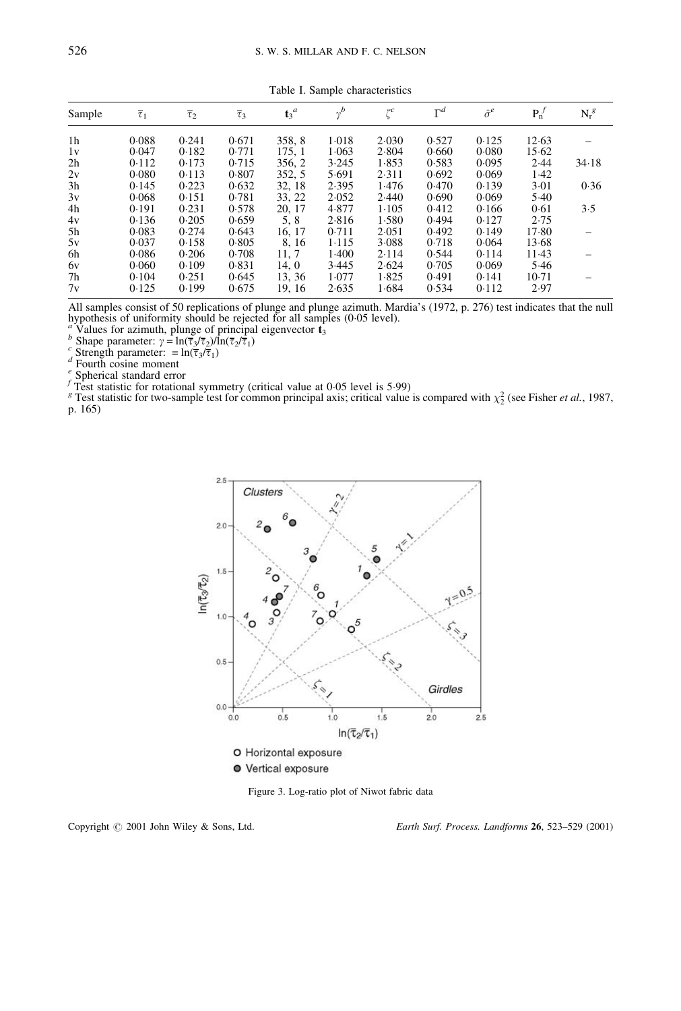| Sample         | $\overline{\tau}_1$ | $\overline{\tau}_2$ | $\overline{\tau}_3$ | $t_3^{\ d}$ | $v^b$ | $\zeta^c$ | $\Gamma^d$ | $\hat{\sigma}^e$ | $P_n^f$ | $N_r^g$ |
|----------------|---------------------|---------------------|---------------------|-------------|-------|-----------|------------|------------------|---------|---------|
| 1 <sub>h</sub> | 0.088               | 0.241               | 0.671               | 358, 8      | 1.018 | 2.030     | 0.527      | 0.125            | 12.63   |         |
| 1v             | 0.047               | 0.182               | 0.771               | 175, 1      | 1.063 | 2.804     | 0.660      | 0.080            | 15.62   |         |
| 2h             | 0.112               | 0.173               | 0.715               | 356, 2      | 3.245 | 1.853     | 0.583      | 0.095            | 2.44    | 34.18   |
| 2v             | 0.080               | 0.113               | 0.807               | 352, 5      | 5.691 | 2.311     | 0.692      | 0.069            | 1.42    |         |
| 3h             | 0.145               | 0.223               | 0.632               | 32, 18      | 2.395 | 1.476     | 0.470      | 0.139            | 3.01    | 0.36    |
| 3v             | 0.068               | 0.151               | 0.781               | 33, 22      | 2.052 | 2.440     | 0.690      | 0.069            | 5.40    |         |
| 4h             | 0.191               | 0.231               | 0.578               | 20, 17      | 4.877 | 1.105     | 0.412      | 0.166            | 0.61    | 3.5     |
| 4v             | 0.136               | 0.205               | 0.659               | 5, 8        | 2.816 | 1.580     | 0.494      | 0.127            | 2.75    |         |
| 5h             | 0.083               | 0.274               | 0.643               | 16, 17      | 0.711 | 2.051     | 0.492      | 0.149            | 17.80   |         |
| 5v             | 0.037               | 0.158               | 0.805               | 8, 16       | 1.115 | 3.088     | 0.718      | 0.064            | 13.68   |         |
| 6h             | 0.086               | 0.206               | 0.708               | 11, 7       | 1.400 | 2.114     | 0.544      | 0.114            | 11.43   |         |
| 6y             | 0.060               | 0.109               | 0.831               | 14, 0       | 3.445 | 2.624     | 0.705      | 0.069            | 5.46    |         |
| 7h             | 0.104               | 0.251               | 0.645               | 13, 36      | 1.077 | 1.825     | 0.491      | 0.141            | 10.71   |         |
| 7v             | 0.125               | 0.199               | 0.675               | 19, 16      | 2.635 | 1.684     | 0.534      | 0.112            | 2.97    |         |

Table I. Sample characteristics

All samples consist of 50 replications of plunge and plunge azimuth. Mardia's (1972, p. 276) test indicates that the null hypothesis of uniformity should be rejected for all samples (0.05 level).<br><sup>*a*</sup> Values for azimuth, plunge of principal eigenvector **t**<sub>3</sub><br>*b* Shape parameter:  $\gamma = \ln(\overline{\tau}_3/\overline{\tau}_2)/\ln(\overline{\tau}_2/\overline{\tau}_1)$ 

<sup>*c*</sup> Shape parameter:  $\gamma = \ln(\overline{\tau}_3/\overline{\tau}_1)$ <br> *c* Strength parameter:  $= \ln(\overline{\tau}_3/\overline{\tau}_1)$ <br> *d* Fourth cosine moment<br> *e* Spherical standard error<br> *f* Test statistic for rotational symmetry (critical value at 0-<br> *T* Te  $\frac{1}{1}$  Test statistic for rotational symmetry (critical value at 0.05 level is 5.99)

The statistic for rotational symmetry (critical value at 0.05 level is 5.99)<br><sup>8</sup> Test statistic for two-sample test for common principal axis; critical value is compared with  $\chi^2$  (see Fisher *et al.*, 1987, p. 165)



Figure 3. Log-ratio plot of Niwot fabric data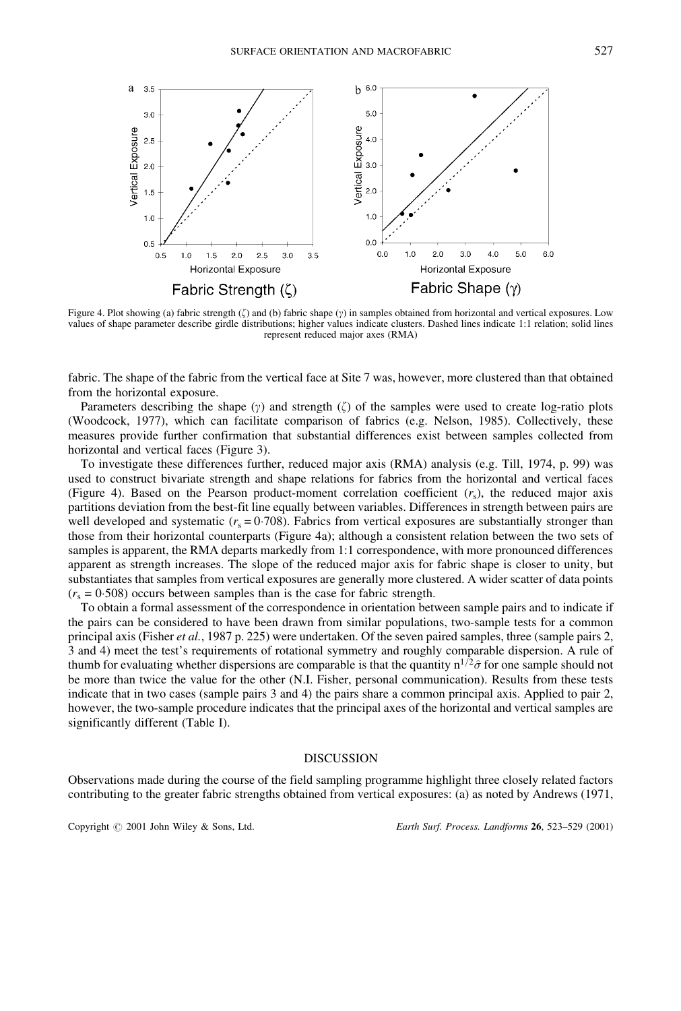

Figure 4. Plot showing (a) fabric strength  $(\zeta)$  and (b) fabric shape  $(\gamma)$  in samples obtained from horizontal and vertical exposures. Low values of shape parameter describe girdle distributions; higher values indicate clusters. Dashed lines indicate 1:1 relation; solid lines represent reduced major axes (RMA)

fabric. The shape of the fabric from the vertical face at Site 7 was, however, more clustered than that obtained from the horizontal exposure.

Parameters describing the shape  $(\gamma)$  and strength  $(\zeta)$  of the samples were used to create log-ratio plots (Woodcock, 1977), which can facilitate comparison of fabrics (e.g. Nelson, 1985). Collectively, these measures provide further confirmation that substantial differences exist between samples collected from horizontal and vertical faces (Figure 3).

To investigate these differences further, reduced major axis (RMA) analysis (e.g. Till, 1974, p. 99) was used to construct bivariate strength and shape relations for fabrics from the horizontal and vertical faces (Figure 4). Based on the Pearson product-moment correlation coefficient  $(r<sub>s</sub>)$ , the reduced major axis partitions deviation from the best-fit line equally between variables. Differences in strength between pairs are well developed and systematic  $(r_s = 0.708)$ . Fabrics from vertical exposures are substantially stronger than those from their horizontal counterparts (Figure 4a); although a consistent relation between the two sets of samples is apparent, the RMA departs markedly from 1:1 correspondence, with more pronounced differences apparent as strength increases. The slope of the reduced major axis for fabric shape is closer to unity, but substantiates that samples from vertical exposures are generally more clustered. A wider scatter of data points  $(r<sub>s</sub> = 0.508)$  occurs between samples than is the case for fabric strength.

To obtain a formal assessment of the correspondence in orientation between sample pairs and to indicate if the pairs can be considered to have been drawn from similar populations, two-sample tests for a common principal axis (Fisher *et al.*, 1987 p. 225) were undertaken. Of the seven paired samples, three (sample pairs 2, 3 and 4) meet the test's requirements of rotational symmetry and roughly comparable dispersion. A rule of thumb for evaluating whether dispersions are comparable is that the quantity  $n^{1/2}\hat{\sigma}$  for one sample should not be more than twice the value for the other (N.I. Fisher, personal communication). Results from these tests indicate that in two cases (sample pairs 3 and 4) the pairs share a common principal axis. Applied to pair 2, however, the two-sample procedure indicates that the principal axes of the horizontal and vertical samples are significantly different (Table I).

#### DISCUSSION

Observations made during the course of the field sampling programme highlight three closely related factors contributing to the greater fabric strengths obtained from vertical exposures: (a) as noted by Andrews (1971,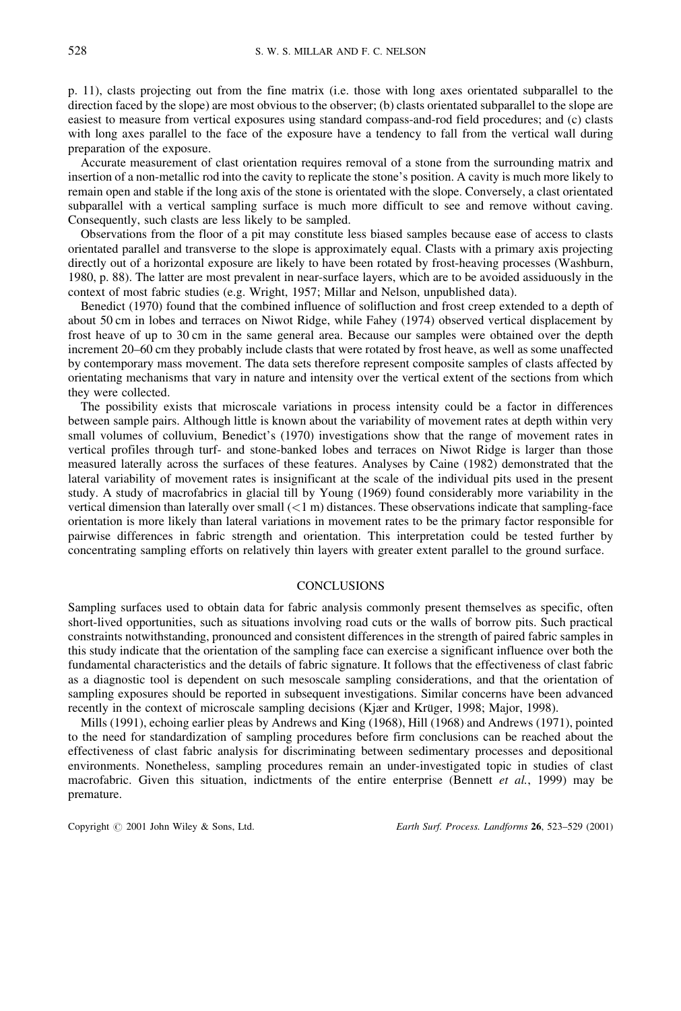p. 11), clasts projecting out from the fine matrix (i.e. those with long axes orientated subparallel to the direction faced by the slope) are most obvious to the observer; (b) clasts orientated subparallel to the slope are easiest to measure from vertical exposures using standard compass-and-rod field procedures; and (c) clasts with long axes parallel to the face of the exposure have a tendency to fall from the vertical wall during preparation of the exposure.

Accurate measurement of clast orientation requires removal of a stone from the surrounding matrix and insertion of a non-metallic rod into the cavity to replicate the stone's position. A cavity is much more likely to remain open and stable if the long axis of the stone is orientated with the slope. Conversely, a clast orientated subparallel with a vertical sampling surface is much more difficult to see and remove without caving. Consequently, such clasts are less likely to be sampled.

Observations from the floor of a pit may constitute less biased samples because ease of access to clasts orientated parallel and transverse to the slope is approximately equal. Clasts with a primary axis projecting directly out of a horizontal exposure are likely to have been rotated by frost-heaving processes (Washburn, 1980, p. 88). The latter are most prevalent in near-surface layers, which are to be avoided assiduously in the context of most fabric studies (e.g. Wright, 1957; Millar and Nelson, unpublished data).

Benedict (1970) found that the combined influence of solifluction and frost creep extended to a depth of about 50 cm in lobes and terraces on Niwot Ridge, while Fahey (1974) observed vertical displacement by frost heave of up to 30 cm in the same general area. Because our samples were obtained over the depth increment 20–60 cm they probably include clasts that were rotated by frost heave, as well as some unaffected by contemporary mass movement. The data sets therefore represent composite samples of clasts affected by orientating mechanisms that vary in nature and intensity over the vertical extent of the sections from which they were collected.

The possibility exists that microscale variations in process intensity could be a factor in differences between sample pairs. Although little is known about the variability of movement rates at depth within very small volumes of colluvium, Benedict's (1970) investigations show that the range of movement rates in vertical profiles through turf- and stone-banked lobes and terraces on Niwot Ridge is larger than those measured laterally across the surfaces of these features. Analyses by Caine (1982) demonstrated that the lateral variability of movement rates is insignificant at the scale of the individual pits used in the present study. A study of macrofabrics in glacial till by Young (1969) found considerably more variability in the vertical dimension than laterally over small  $(< 1 \text{ m})$  distances. These observations indicate that sampling-face orientation is more likely than lateral variations in movement rates to be the primary factor responsible for pairwise differences in fabric strength and orientation. This interpretation could be tested further by concentrating sampling efforts on relatively thin layers with greater extent parallel to the ground surface.

#### **CONCLUSIONS**

Sampling surfaces used to obtain data for fabric analysis commonly present themselves as specific, often short-lived opportunities, such as situations involving road cuts or the walls of borrow pits. Such practical constraints notwithstanding, pronounced and consistent differences in the strength of paired fabric samples in this study indicate that the orientation of the sampling face can exercise a significant influence over both the fundamental characteristics and the details of fabric signature. It follows that the effectiveness of clast fabric as a diagnostic tool is dependent on such mesoscale sampling considerations, and that the orientation of sampling exposures should be reported in subsequent investigations. Similar concerns have been advanced recently in the context of microscale sampling decisions (Kjær and Krüger, 1998; Major, 1998).

Mills (1991), echoing earlier pleas by Andrews and King (1968), Hill (1968) and Andrews (1971), pointed to the need for standardization of sampling procedures before firm conclusions can be reached about the effectiveness of clast fabric analysis for discriminating between sedimentary processes and depositional environments. Nonetheless, sampling procedures remain an under-investigated topic in studies of clast macrofabric. Given this situation, indictments of the entire enterprise (Bennett *et al.*, 1999) may be premature.